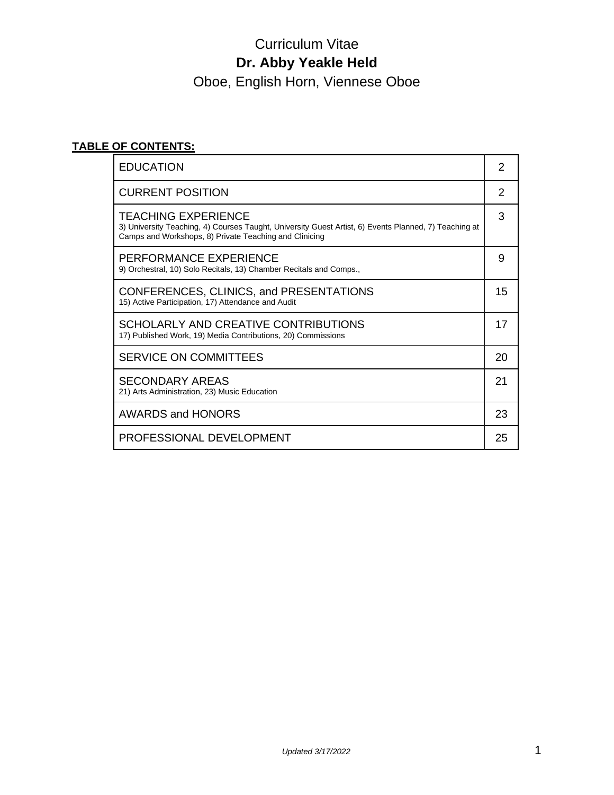Oboe, English Horn, Viennese Oboe

# **TABLE OF CONTENTS:**

| <b>EDUCATION</b>                                                                                                                                                                              | 2  |
|-----------------------------------------------------------------------------------------------------------------------------------------------------------------------------------------------|----|
| <b>CURRENT POSITION</b>                                                                                                                                                                       | 2  |
| <b>TEACHING EXPERIENCE</b><br>3) University Teaching, 4) Courses Taught, University Guest Artist, 6) Events Planned, 7) Teaching at<br>Camps and Workshops, 8) Private Teaching and Clinicing | 3  |
| PERFORMANCE EXPERIENCE<br>9) Orchestral, 10) Solo Recitals, 13) Chamber Recitals and Comps.,                                                                                                  | 9  |
| CONFERENCES, CLINICS, and PRESENTATIONS<br>15) Active Participation, 17) Attendance and Audit                                                                                                 | 15 |
| SCHOLARLY AND CREATIVE CONTRIBUTIONS<br>17) Published Work, 19) Media Contributions, 20) Commissions                                                                                          | 17 |
| <b>SERVICE ON COMMITTEES</b>                                                                                                                                                                  | 20 |
| <b>SECONDARY AREAS</b><br>21) Arts Administration, 23) Music Education                                                                                                                        | 21 |
| <b>AWARDS and HONORS</b>                                                                                                                                                                      | 23 |
| PROFESSIONAL DEVELOPMENT                                                                                                                                                                      | 25 |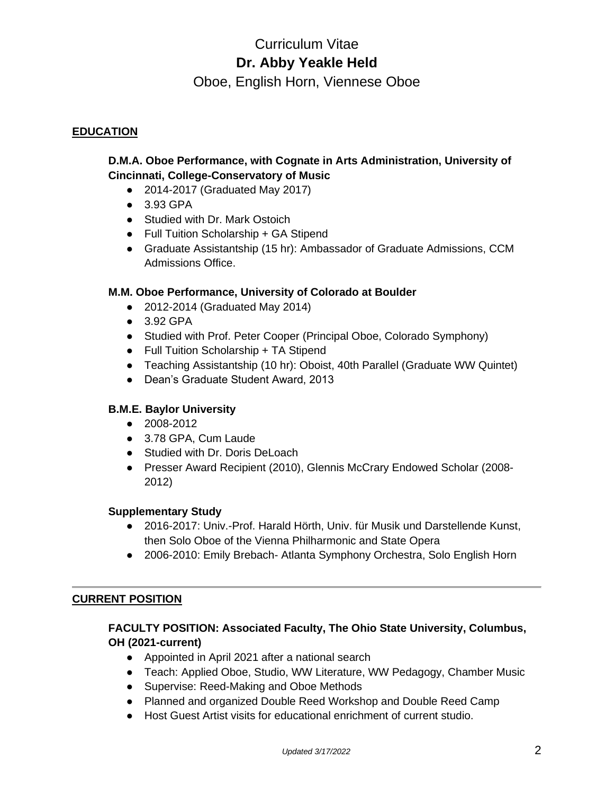Oboe, English Horn, Viennese Oboe

# **EDUCATION**

# **D.M.A. Oboe Performance, with Cognate in Arts Administration, University of Cincinnati, College-Conservatory of Music**

- 2014-2017 (Graduated May 2017)
- 3.93 GPA
- Studied with Dr. Mark Ostoich
- Full Tuition Scholarship + GA Stipend
- Graduate Assistantship (15 hr): Ambassador of Graduate Admissions, CCM Admissions Office.

### **M.M. Oboe Performance, University of Colorado at Boulder**

- 2012-2014 (Graduated May 2014)
- 3.92 GPA
- Studied with Prof. Peter Cooper (Principal Oboe, Colorado Symphony)
- Full Tuition Scholarship + TA Stipend
- Teaching Assistantship (10 hr): Oboist, 40th Parallel (Graduate WW Quintet)
- Dean's Graduate Student Award, 2013

## **B.M.E. Baylor University**

- 2008-2012
- 3.78 GPA, Cum Laude
- Studied with Dr. Doris DeLoach
- Presser Award Recipient (2010), Glennis McCrary Endowed Scholar (2008- 2012)

### **Supplementary Study**

- 2016-2017: Univ.-Prof. Harald Hörth, Univ. für Musik und Darstellende Kunst, then Solo Oboe of the Vienna Philharmonic and State Opera
- 2006-2010: Emily Brebach- Atlanta Symphony Orchestra, Solo English Horn

### **CURRENT POSITION**

# **FACULTY POSITION: Associated Faculty, The Ohio State University, Columbus, OH (2021-current)**

- Appointed in April 2021 after a national search
- Teach: Applied Oboe, Studio, WW Literature, WW Pedagogy, Chamber Music
- Supervise: Reed-Making and Oboe Methods
- Planned and organized Double Reed Workshop and Double Reed Camp
- Host Guest Artist visits for educational enrichment of current studio.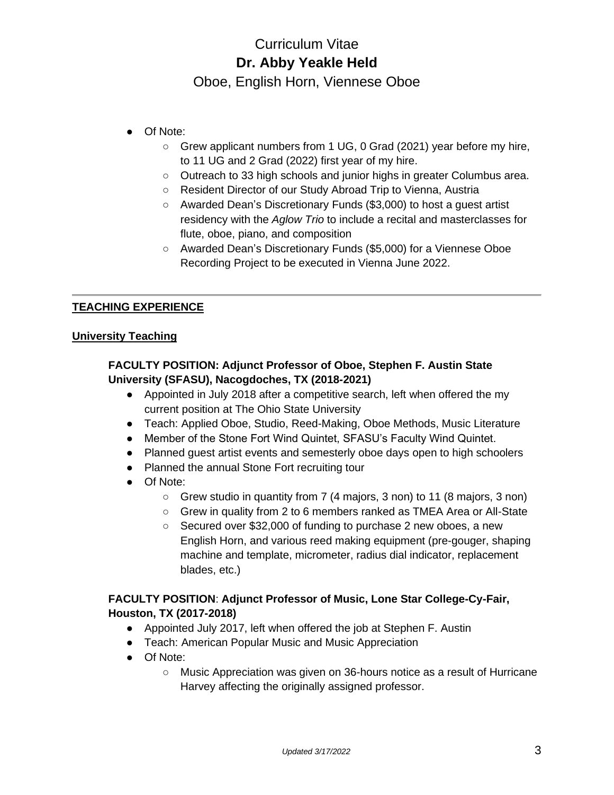Oboe, English Horn, Viennese Oboe

- Of Note:
	- Grew applicant numbers from 1 UG, 0 Grad (2021) year before my hire, to 11 UG and 2 Grad (2022) first year of my hire.
	- Outreach to 33 high schools and junior highs in greater Columbus area.
	- Resident Director of our Study Abroad Trip to Vienna, Austria
	- Awarded Dean's Discretionary Funds (\$3,000) to host a guest artist residency with the *Aglow Trio* to include a recital and masterclasses for flute, oboe, piano, and composition
	- Awarded Dean's Discretionary Funds (\$5,000) for a Viennese Oboe Recording Project to be executed in Vienna June 2022.

# **TEACHING EXPERIENCE**

# **University Teaching**

# **FACULTY POSITION: Adjunct Professor of Oboe, Stephen F. Austin State University (SFASU), Nacogdoches, TX (2018-2021)**

- Appointed in July 2018 after a competitive search, left when offered the my current position at The Ohio State University
- Teach: Applied Oboe, Studio, Reed-Making, Oboe Methods, Music Literature
- Member of the Stone Fort Wind Quintet, SFASU's Faculty Wind Quintet.
- Planned guest artist events and semesterly oboe days open to high schoolers
- Planned the annual Stone Fort recruiting tour
- Of Note:
	- Grew studio in quantity from 7 (4 majors, 3 non) to 11 (8 majors, 3 non)
	- Grew in quality from 2 to 6 members ranked as TMEA Area or All-State
	- Secured over \$32,000 of funding to purchase 2 new oboes, a new English Horn, and various reed making equipment (pre-gouger, shaping machine and template, micrometer, radius dial indicator, replacement blades, etc.)

# **FACULTY POSITION**: **Adjunct Professor of Music, Lone Star College-Cy-Fair, Houston, TX (2017-2018)**

- Appointed July 2017, left when offered the job at Stephen F. Austin
- Teach: American Popular Music and Music Appreciation
- Of Note:
	- Music Appreciation was given on 36-hours notice as a result of Hurricane Harvey affecting the originally assigned professor.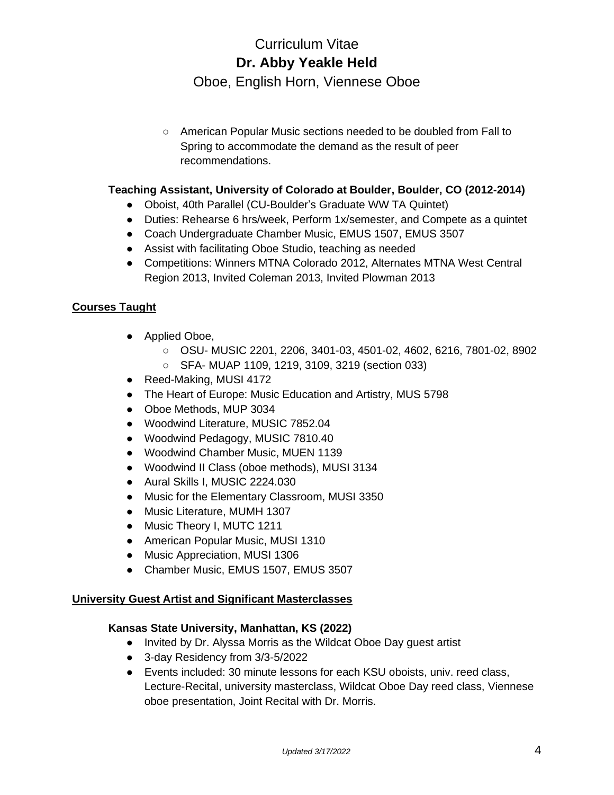Oboe, English Horn, Viennese Oboe

○ American Popular Music sections needed to be doubled from Fall to Spring to accommodate the demand as the result of peer recommendations.

# **Teaching Assistant, University of Colorado at Boulder, Boulder, CO (2012-2014)**

- Oboist, 40th Parallel (CU-Boulder's Graduate WW TA Quintet)
- Duties: Rehearse 6 hrs/week, Perform 1x/semester, and Compete as a quintet
- Coach Undergraduate Chamber Music, EMUS 1507, EMUS 3507
- Assist with facilitating Oboe Studio, teaching as needed
- Competitions: Winners MTNA Colorado 2012, Alternates MTNA West Central Region 2013, Invited Coleman 2013, Invited Plowman 2013

# **Courses Taught**

- Applied Oboe,
	- OSU- MUSIC 2201, 2206, 3401-03, 4501-02, 4602, 6216, 7801-02, 8902
	- SFA- MUAP 1109, 1219, 3109, 3219 (section 033)
- Reed-Making, MUSI 4172
- The Heart of Europe: Music Education and Artistry, MUS 5798
- Oboe Methods, MUP 3034
- Woodwind Literature, MUSIC 7852.04
- Woodwind Pedagogy, MUSIC 7810.40
- Woodwind Chamber Music, MUEN 1139
- Woodwind II Class (oboe methods), MUSI 3134
- Aural Skills I, MUSIC 2224.030
- Music for the Elementary Classroom, MUSI 3350
- Music Literature, MUMH 1307
- Music Theory I, MUTC 1211
- American Popular Music, MUSI 1310
- Music Appreciation, MUSI 1306
- Chamber Music, EMUS 1507, EMUS 3507

### **University Guest Artist and Significant Masterclasses**

### **Kansas State University, Manhattan, KS (2022)**

- Invited by Dr. Alyssa Morris as the Wildcat Oboe Day guest artist
- 3-day Residency from 3/3-5/2022
- Events included: 30 minute lessons for each KSU oboists, univ. reed class, Lecture-Recital, university masterclass, Wildcat Oboe Day reed class, Viennese oboe presentation, Joint Recital with Dr. Morris.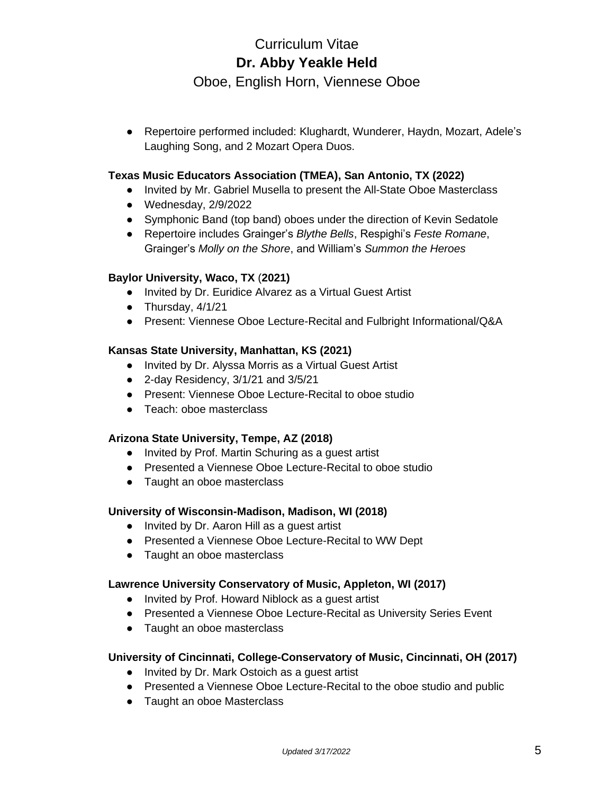Oboe, English Horn, Viennese Oboe

● Repertoire performed included: Klughardt, Wunderer, Haydn, Mozart, Adele's Laughing Song, and 2 Mozart Opera Duos.

# **Texas Music Educators Association (TMEA), San Antonio, TX (2022)**

- Invited by Mr. Gabriel Musella to present the All-State Oboe Masterclass
- Wednesday, 2/9/2022
- Symphonic Band (top band) oboes under the direction of Kevin Sedatole
- Repertoire includes Grainger's *Blythe Bells*, Respighi's *Feste Romane*, Grainger's *Molly on the Shore*, and William's *Summon the Heroes*

### **Baylor University, Waco, TX** (**2021)**

- Invited by Dr. Euridice Alvarez as a Virtual Guest Artist
- $\bullet$  Thursday,  $4/1/21$
- Present: Viennese Oboe Lecture-Recital and Fulbright Informational/Q&A

### **Kansas State University, Manhattan, KS (2021)**

- Invited by Dr. Alyssa Morris as a Virtual Guest Artist
- 2-day Residency, 3/1/21 and 3/5/21
- Present: Viennese Oboe Lecture-Recital to oboe studio
- Teach: oboe masterclass

### **Arizona State University, Tempe, AZ (2018)**

- Invited by Prof. Martin Schuring as a guest artist
- Presented a Viennese Oboe Lecture-Recital to oboe studio
- Taught an oboe masterclass

### **University of Wisconsin-Madison, Madison, WI (2018)**

- Invited by Dr. Aaron Hill as a quest artist
- Presented a Viennese Oboe Lecture-Recital to WW Dept
- Taught an oboe masterclass

### **Lawrence University Conservatory of Music, Appleton, WI (2017)**

- Invited by Prof. Howard Niblock as a guest artist
- Presented a Viennese Oboe Lecture-Recital as University Series Event
- Taught an oboe masterclass

### **University of Cincinnati, College-Conservatory of Music, Cincinnati, OH (2017)**

- Invited by Dr. Mark Ostoich as a guest artist
- Presented a Viennese Oboe Lecture-Recital to the oboe studio and public
- Taught an oboe Masterclass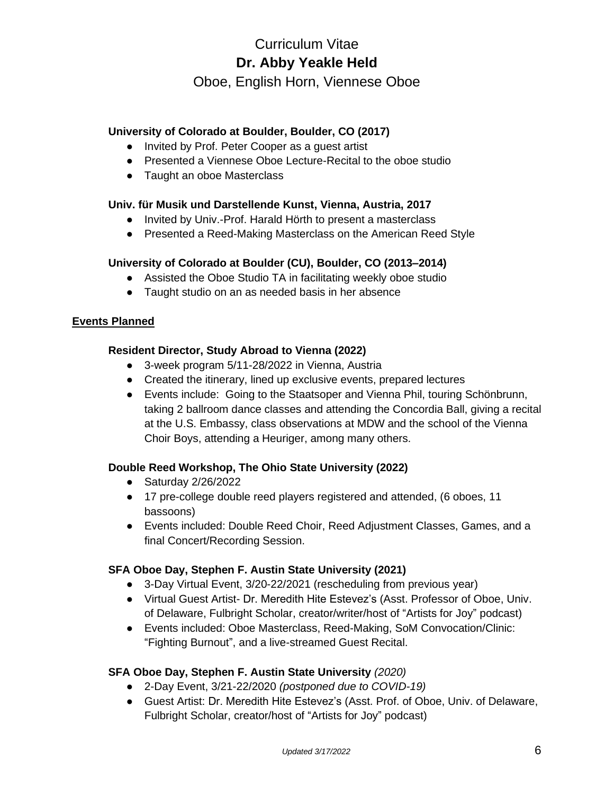Oboe, English Horn, Viennese Oboe

# **University of Colorado at Boulder, Boulder, CO (2017)**

- Invited by Prof. Peter Cooper as a quest artist
- Presented a Viennese Oboe Lecture-Recital to the oboe studio
- Taught an oboe Masterclass

# **Univ. für Musik und Darstellende Kunst, Vienna, Austria, 2017**

- Invited by Univ.-Prof. Harald Hörth to present a masterclass
- Presented a Reed-Making Masterclass on the American Reed Style

# **University of Colorado at Boulder (CU), Boulder, CO (2013–2014)**

- Assisted the Oboe Studio TA in facilitating weekly oboe studio
- Taught studio on an as needed basis in her absence

### **Events Planned**

# **Resident Director, Study Abroad to Vienna (2022)**

- 3-week program 5/11-28/2022 in Vienna, Austria
- Created the itinerary, lined up exclusive events, prepared lectures
- Events include: Going to the Staatsoper and Vienna Phil, touring Schönbrunn, taking 2 ballroom dance classes and attending the Concordia Ball, giving a recital at the U.S. Embassy, class observations at MDW and the school of the Vienna Choir Boys, attending a Heuriger, among many others.

### **Double Reed Workshop, The Ohio State University (2022)**

- Saturday 2/26/2022
- 17 pre-college double reed players registered and attended, (6 oboes, 11 bassoons)
- Events included: Double Reed Choir, Reed Adjustment Classes, Games, and a final Concert/Recording Session.

### **SFA Oboe Day, Stephen F. Austin State University (2021)**

- 3-Day Virtual Event, 3/20-22/2021 (rescheduling from previous year)
- Virtual Guest Artist- Dr. Meredith Hite Estevez's (Asst. Professor of Oboe, Univ. of Delaware, Fulbright Scholar, creator/writer/host of "Artists for Joy" podcast)
- Events included: Oboe Masterclass, Reed-Making, SoM Convocation/Clinic: "Fighting Burnout", and a live-streamed Guest Recital.

# **SFA Oboe Day, Stephen F. Austin State University** *(2020)*

- 2-Day Event, 3/21-22/2020 *(postponed due to COVID-19)*
- Guest Artist: Dr. Meredith Hite Estevez's (Asst. Prof. of Oboe, Univ. of Delaware, Fulbright Scholar, creator/host of "Artists for Joy" podcast)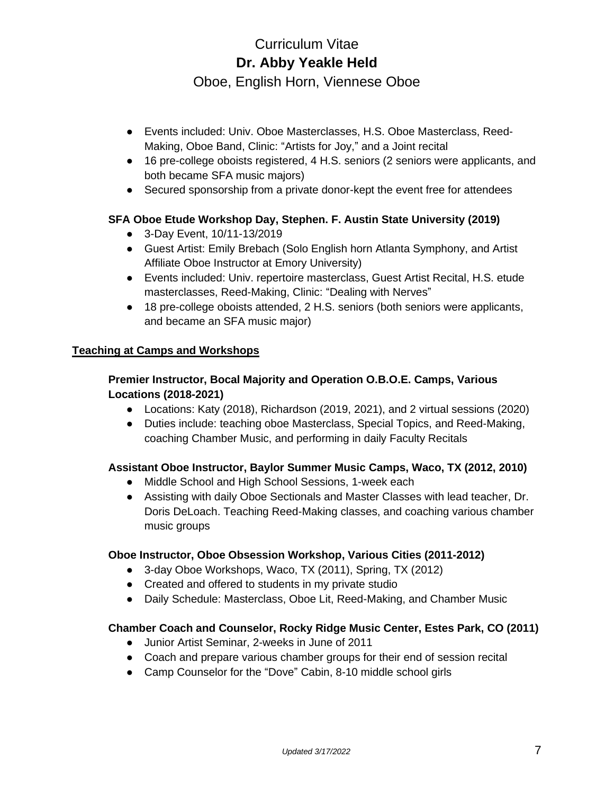Oboe, English Horn, Viennese Oboe

- Events included: Univ. Oboe Masterclasses, H.S. Oboe Masterclass, Reed-Making, Oboe Band, Clinic: "Artists for Joy," and a Joint recital
- 16 pre-college oboists registered, 4 H.S. seniors (2 seniors were applicants, and both became SFA music majors)
- Secured sponsorship from a private donor-kept the event free for attendees

# **SFA Oboe Etude Workshop Day, Stephen. F. Austin State University (2019)**

- 3-Day Event, 10/11-13/2019
- Guest Artist: Emily Brebach (Solo English horn Atlanta Symphony, and Artist Affiliate Oboe Instructor at Emory University)
- Events included: Univ. repertoire masterclass, Guest Artist Recital, H.S. etude masterclasses, Reed-Making, Clinic: "Dealing with Nerves"
- 18 pre-college oboists attended, 2 H.S. seniors (both seniors were applicants, and became an SFA music major)

# **Teaching at Camps and Workshops**

# **Premier Instructor, Bocal Majority and Operation O.B.O.E. Camps, Various Locations (2018-2021)**

- Locations: Katy (2018), Richardson (2019, 2021), and 2 virtual sessions (2020)
- Duties include: teaching oboe Masterclass, Special Topics, and Reed-Making, coaching Chamber Music, and performing in daily Faculty Recitals

# **Assistant Oboe Instructor, Baylor Summer Music Camps, Waco, TX (2012, 2010)**

- Middle School and High School Sessions, 1-week each
- Assisting with daily Oboe Sectionals and Master Classes with lead teacher, Dr. Doris DeLoach. Teaching Reed-Making classes, and coaching various chamber music groups

### **Oboe Instructor, Oboe Obsession Workshop, Various Cities (2011-2012)**

- 3-day Oboe Workshops, Waco, TX (2011), Spring, TX (2012)
- Created and offered to students in my private studio
- Daily Schedule: Masterclass, Oboe Lit, Reed-Making, and Chamber Music

# **Chamber Coach and Counselor, Rocky Ridge Music Center, Estes Park, CO (2011)**

- Junior Artist Seminar, 2-weeks in June of 2011
- Coach and prepare various chamber groups for their end of session recital
- Camp Counselor for the "Dove" Cabin, 8-10 middle school girls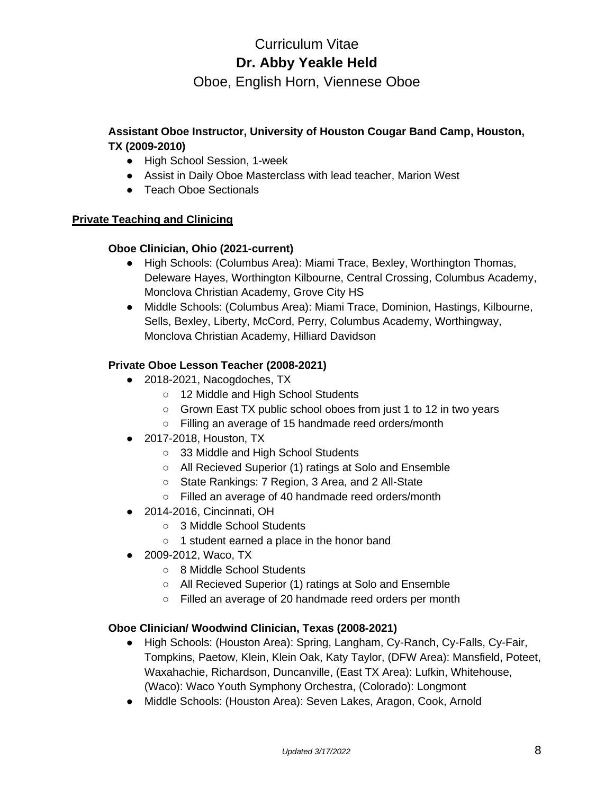Oboe, English Horn, Viennese Oboe

# **Assistant Oboe Instructor, University of Houston Cougar Band Camp, Houston, TX (2009-2010)**

- High School Session, 1-week
- Assist in Daily Oboe Masterclass with lead teacher, Marion West
- Teach Oboe Sectionals

# **Private Teaching and Clinicing**

# **Oboe Clinician, Ohio (2021-current)**

- High Schools: (Columbus Area): Miami Trace, Bexley, Worthington Thomas, Deleware Hayes, Worthington Kilbourne, Central Crossing, Columbus Academy, Monclova Christian Academy, Grove City HS
- Middle Schools: (Columbus Area): Miami Trace, Dominion, Hastings, Kilbourne, Sells, Bexley, Liberty, McCord, Perry, Columbus Academy, Worthingway, Monclova Christian Academy, Hilliard Davidson

# **Private Oboe Lesson Teacher (2008-2021)**

- 2018-2021, Nacogdoches, TX
	- 12 Middle and High School Students
	- Grown East TX public school oboes from just 1 to 12 in two years
	- Filling an average of 15 handmade reed orders/month
- 2017-2018, Houston, TX
	- 33 Middle and High School Students
	- All Recieved Superior (1) ratings at Solo and Ensemble
	- State Rankings: 7 Region, 3 Area, and 2 All-State
	- Filled an average of 40 handmade reed orders/month
- 2014-2016, Cincinnati, OH
	- 3 Middle School Students
	- 1 student earned a place in the honor band
- 2009-2012, Waco, TX
	- 8 Middle School Students
	- All Recieved Superior (1) ratings at Solo and Ensemble
	- Filled an average of 20 handmade reed orders per month

# **Oboe Clinician/ Woodwind Clinician, Texas (2008-2021)**

- High Schools: (Houston Area): Spring, Langham, Cy-Ranch, Cy-Falls, Cy-Fair, Tompkins, Paetow, Klein, Klein Oak, Katy Taylor, (DFW Area): Mansfield, Poteet, Waxahachie, Richardson, Duncanville, (East TX Area): Lufkin, Whitehouse, (Waco): Waco Youth Symphony Orchestra, (Colorado): Longmont
- Middle Schools: (Houston Area): Seven Lakes, Aragon, Cook, Arnold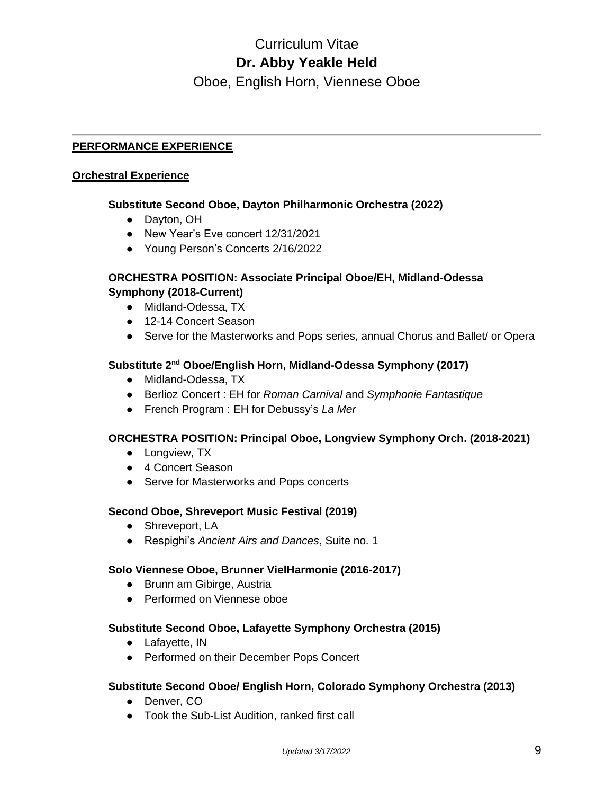Oboe, English Horn, Viennese Oboe

# **PERFORMANCE EXPERIENCE**

#### **Orchestral Experience**

#### **Substitute Second Oboe, Dayton Philharmonic Orchestra (2022)**

- Dayton, OH
- New Year's Eve concert 12/31/2021
- Young Person's Concerts 2/16/2022

### **ORCHESTRA POSITION: Associate Principal Oboe/EH, Midland-Odessa Symphony (2018-Current)**

- Midland-Odessa, TX
- 12-14 Concert Season
- Serve for the Masterworks and Pops series, annual Chorus and Ballet/ or Opera

## **Substitute 2nd Oboe/English Horn, Midland-Odessa Symphony (2017)**

- Midland-Odessa, TX
- Berlioz Concert : EH for *Roman Carnival* and *Symphonie Fantastique*
- French Program : EH for Debussy's *La Mer*

### **ORCHESTRA POSITION: Principal Oboe, Longview Symphony Orch. (2018-2021)**

- Longview, TX
- 4 Concert Season
- Serve for Masterworks and Pops concerts

### **Second Oboe, Shreveport Music Festival (2019)**

- Shreveport, LA
- Respighi's *Ancient Airs and Dances*, Suite no. 1

### **Solo Viennese Oboe, Brunner VielHarmonie (2016-2017)**

- Brunn am Gibirge, Austria
- Performed on Viennese oboe

### **Substitute Second Oboe, Lafayette Symphony Orchestra (2015)**

- Lafayette, IN
- Performed on their December Pops Concert

### **Substitute Second Oboe/ English Horn, Colorado Symphony Orchestra (2013)**

- Denver, CO
- Took the Sub-List Audition, ranked first call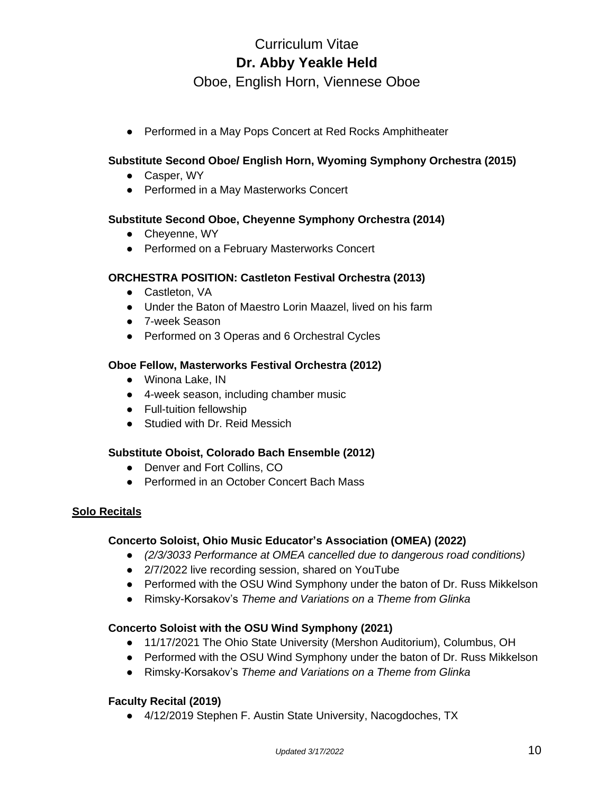Oboe, English Horn, Viennese Oboe

● Performed in a May Pops Concert at Red Rocks Amphitheater

# **Substitute Second Oboe/ English Horn, Wyoming Symphony Orchestra (2015)**

- Casper, WY
- Performed in a May Masterworks Concert

### **Substitute Second Oboe, Cheyenne Symphony Orchestra (2014)**

- Cheyenne, WY
- Performed on a February Masterworks Concert

#### **ORCHESTRA POSITION: Castleton Festival Orchestra (2013)**

- Castleton, VA
- Under the Baton of Maestro Lorin Maazel, lived on his farm
- 7-week Season
- Performed on 3 Operas and 6 Orchestral Cycles

### **Oboe Fellow, Masterworks Festival Orchestra (2012)**

- Winona Lake, IN
- 4-week season, including chamber music
- Full-tuition fellowship
- Studied with Dr. Reid Messich

### **Substitute Oboist, Colorado Bach Ensemble (2012)**

- Denver and Fort Collins, CO
- Performed in an October Concert Bach Mass

### **Solo Recitals**

#### **Concerto Soloist, Ohio Music Educator's Association (OMEA) (2022)**

- *(2/3/3033 Performance at OMEA cancelled due to dangerous road conditions)*
- 2/7/2022 live recording session, shared on YouTube
- Performed with the OSU Wind Symphony under the baton of Dr. Russ Mikkelson
- Rimsky-Korsakov's *Theme and Variations on a Theme from Glinka*

### **Concerto Soloist with the OSU Wind Symphony (2021)**

- 11/17/2021 The Ohio State University (Mershon Auditorium), Columbus, OH
- Performed with the OSU Wind Symphony under the baton of Dr. Russ Mikkelson
- Rimsky-Korsakov's *Theme and Variations on a Theme from Glinka*

### **Faculty Recital (2019)**

● 4/12/2019 Stephen F. Austin State University, Nacogdoches, TX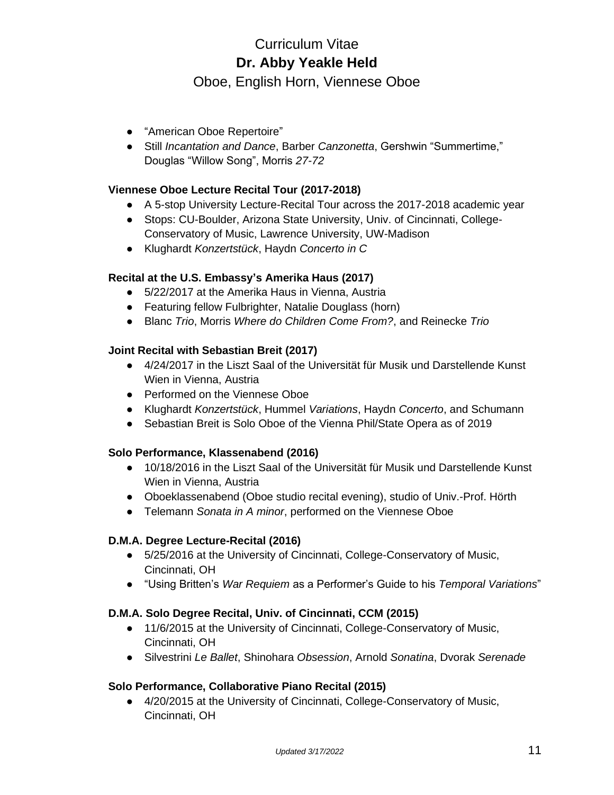Oboe, English Horn, Viennese Oboe

- "American Oboe Repertoire"
- Still *Incantation and Dance*, Barber *Canzonetta*, Gershwin "Summertime," Douglas "Willow Song", Morris *27-72*

# **Viennese Oboe Lecture Recital Tour (2017-2018)**

- A 5-stop University Lecture-Recital Tour across the 2017-2018 academic year
- Stops: CU-Boulder, Arizona State University, Univ. of Cincinnati, College-Conservatory of Music, Lawrence University, UW-Madison
- Klughardt *Konzertstück*, Haydn *Concerto in C*

# **Recital at the U.S. Embassy's Amerika Haus (2017)**

- 5/22/2017 at the Amerika Haus in Vienna, Austria
- Featuring fellow Fulbrighter, Natalie Douglass (horn)
- Blanc *Trio*, Morris *Where do Children Come From?*, and Reinecke *Trio*

# **Joint Recital with Sebastian Breit (2017)**

- 4/24/2017 in the Liszt Saal of the Universität für Musik und Darstellende Kunst Wien in Vienna, Austria
- Performed on the Viennese Oboe
- Klughardt *Konzertstück*, Hummel *Variations*, Haydn *Concerto*, and Schumann
- Sebastian Breit is Solo Oboe of the Vienna Phil/State Opera as of 2019

### **Solo Performance, Klassenabend (2016)**

- 10/18/2016 in the Liszt Saal of the Universität für Musik und Darstellende Kunst Wien in Vienna, Austria
- Oboeklassenabend (Oboe studio recital evening), studio of Univ.-Prof. Hörth
- Telemann *Sonata in A minor*, performed on the Viennese Oboe

### **D.M.A. Degree Lecture-Recital (2016)**

- 5/25/2016 at the University of Cincinnati, College-Conservatory of Music, Cincinnati, OH
- "Using Britten's *War Requiem* as a Performer's Guide to his *Temporal Variations*"

### **D.M.A. Solo Degree Recital, Univ. of Cincinnati, CCM (2015)**

- 11/6/2015 at the University of Cincinnati, College-Conservatory of Music, Cincinnati, OH
- Silvestrini *Le Ballet*, Shinohara *Obsession*, Arnold *Sonatina*, Dvorak *Serenade*

### **Solo Performance, Collaborative Piano Recital (2015)**

● 4/20/2015 at the University of Cincinnati, College-Conservatory of Music, Cincinnati, OH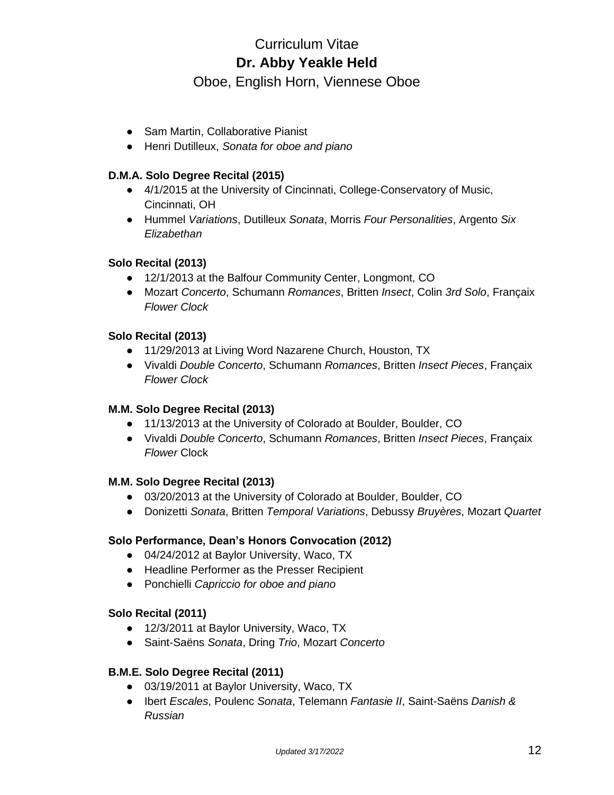Oboe, English Horn, Viennese Oboe

- Sam Martin, Collaborative Pianist
- Henri Dutilleux, *Sonata for oboe and piano*

## **D.M.A. Solo Degree Recital (2015)**

- 4/1/2015 at the University of Cincinnati, College-Conservatory of Music, Cincinnati, OH
- Hummel *Variations*, Dutilleux *Sonata*, Morris *Four Personalities*, Argento *Six Elizabethan*

### **Solo Recital (2013)**

- 12/1/2013 at the Balfour Community Center, Longmont, CO
- Mozart *Concerto*, Schumann *Romances*, Britten *Insect*, Colin *3rd Solo*, Françaix *Flower Clock*

### **Solo Recital (2013)**

- 11/29/2013 at Living Word Nazarene Church, Houston, TX
- Vivaldi *Double Concerto*, Schumann *Romances*, Britten *Insect Pieces*, Françaix *Flower Clock*

### **M.M. Solo Degree Recital (2013)**

- 11/13/2013 at the University of Colorado at Boulder, Boulder, CO
- Vivaldi *Double Concerto*, Schumann *Romances*, Britten *Insect Pieces*, Françaix *Flower* Clock

### **M.M. Solo Degree Recital (2013)**

- 03/20/2013 at the University of Colorado at Boulder, Boulder, CO
- Donizetti *Sonata*, Britten *Temporal Variations*, Debussy *Bruyères*, Mozart *Quartet*

### **Solo Performance, Dean's Honors Convocation (2012)**

- 04/24/2012 at Baylor University, Waco, TX
- Headline Performer as the Presser Recipient
- Ponchielli *Capriccio for oboe and piano*

### **Solo Recital (2011)**

- 12/3/2011 at Baylor University, Waco, TX
- Saint-Saëns *Sonata*, Dring *Trio*, Mozart *Concerto*

### **B.M.E. Solo Degree Recital (2011)**

- 03/19/2011 at Baylor University, Waco, TX
- Ibert *Escales*, Poulenc *Sonata*, Telemann *Fantasie II*, Saint-Saëns *Danish & Russian*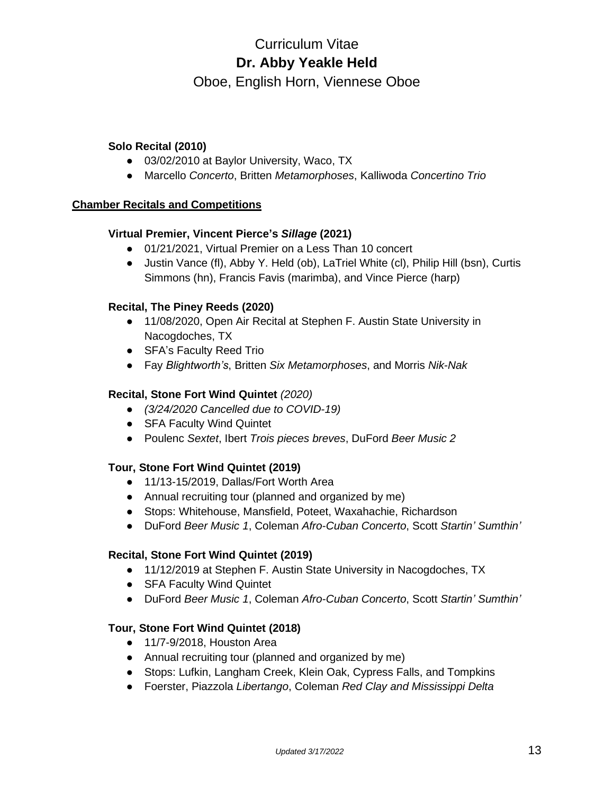Oboe, English Horn, Viennese Oboe

## **Solo Recital (2010)**

- 03/02/2010 at Baylor University, Waco, TX
- Marcello *Concerto*, Britten *Metamorphoses*, Kalliwoda *Concertino Trio*

## **Chamber Recitals and Competitions**

# **Virtual Premier, Vincent Pierce's** *Sillage* **(2021)**

- 01/21/2021, Virtual Premier on a Less Than 10 concert
- Justin Vance (fl), Abby Y. Held (ob), LaTriel White (cl), Philip Hill (bsn), Curtis Simmons (hn), Francis Favis (marimba), and Vince Pierce (harp)

# **Recital, The Piney Reeds (2020)**

- 11/08/2020, Open Air Recital at Stephen F. Austin State University in Nacogdoches, TX
- SFA's Faculty Reed Trio
- Fay *Blightworth's*, Britten *Six Metamorphoses*, and Morris *Nik-Nak*

## **Recital, Stone Fort Wind Quintet** *(2020)*

- *(3/24/2020 Cancelled due to COVID-19)*
- SFA Faculty Wind Quintet
- Poulenc *Sextet*, Ibert *Trois pieces breves*, DuFord *Beer Music 2*

### **Tour, Stone Fort Wind Quintet (2019)**

- 11/13-15/2019, Dallas/Fort Worth Area
- Annual recruiting tour (planned and organized by me)
- Stops: Whitehouse, Mansfield, Poteet, Waxahachie, Richardson
- DuFord *Beer Music 1*, Coleman *Afro-Cuban Concerto*, Scott *Startin' Sumthin'*

### **Recital, Stone Fort Wind Quintet (2019)**

- 11/12/2019 at Stephen F. Austin State University in Nacogdoches, TX
- SFA Faculty Wind Quintet
- DuFord *Beer Music 1*, Coleman *Afro-Cuban Concerto*, Scott *Startin' Sumthin'*

### **Tour, Stone Fort Wind Quintet (2018)**

- 11/7-9/2018, Houston Area
- Annual recruiting tour (planned and organized by me)
- Stops: Lufkin, Langham Creek, Klein Oak, Cypress Falls, and Tompkins
- Foerster, Piazzola *Libertango*, Coleman *Red Clay and Mississippi Delta*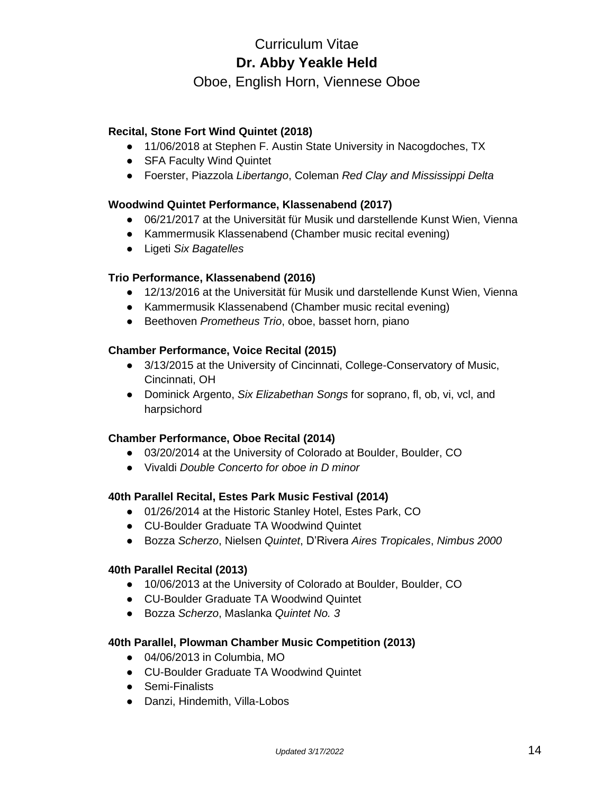# Oboe, English Horn, Viennese Oboe

# **Recital, Stone Fort Wind Quintet (2018)**

- 11/06/2018 at Stephen F. Austin State University in Nacogdoches, TX
- SFA Faculty Wind Quintet
- Foerster, Piazzola *Libertango*, Coleman *Red Clay and Mississippi Delta*

### **Woodwind Quintet Performance, Klassenabend (2017)**

- 06/21/2017 at the Universität für Musik und darstellende Kunst Wien, Vienna
- Kammermusik Klassenabend (Chamber music recital evening)
- Ligeti *Six Bagatelles*

### **Trio Performance, Klassenabend (2016)**

- 12/13/2016 at the Universität für Musik und darstellende Kunst Wien, Vienna
- Kammermusik Klassenabend (Chamber music recital evening)
- Beethoven *Prometheus Trio*, oboe, basset horn, piano

### **Chamber Performance, Voice Recital (2015)**

- 3/13/2015 at the University of Cincinnati, College-Conservatory of Music, Cincinnati, OH
- Dominick Argento, *Six Elizabethan Songs* for soprano, fl, ob, vi, vcl, and harpsichord

### **Chamber Performance, Oboe Recital (2014)**

- 03/20/2014 at the University of Colorado at Boulder, Boulder, CO
- Vivaldi *Double Concerto for oboe in D minor*

#### **40th Parallel Recital, Estes Park Music Festival (2014)**

- 01/26/2014 at the Historic Stanley Hotel, Estes Park, CO
- CU-Boulder Graduate TA Woodwind Quintet
- Bozza *Scherzo*, Nielsen *Quintet*, D'Rivera *Aires Tropicales*, *Nimbus 2000*

#### **40th Parallel Recital (2013)**

- 10/06/2013 at the University of Colorado at Boulder, Boulder, CO
- CU-Boulder Graduate TA Woodwind Quintet
- Bozza *Scherzo*, Maslanka *Quintet No. 3*

#### **40th Parallel, Plowman Chamber Music Competition (2013)**

- 04/06/2013 in Columbia, MO
- CU-Boulder Graduate TA Woodwind Quintet
- Semi-Finalists
- Danzi, Hindemith, Villa-Lobos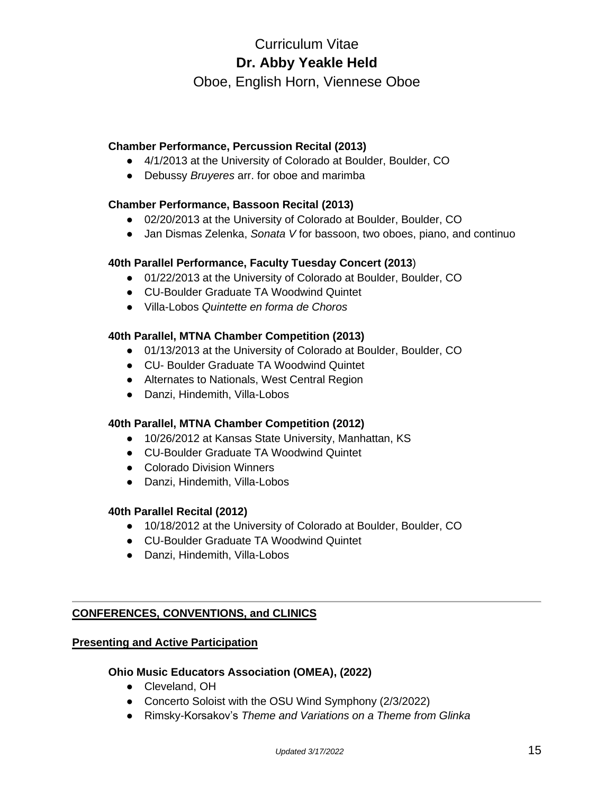Oboe, English Horn, Viennese Oboe

# **Chamber Performance, Percussion Recital (2013)**

- 4/1/2013 at the University of Colorado at Boulder, Boulder, CO
- Debussy *Bruyeres* arr. for oboe and marimba

# **Chamber Performance, Bassoon Recital (2013)**

- 02/20/2013 at the University of Colorado at Boulder, Boulder, CO
- Jan Dismas Zelenka, *Sonata V* for bassoon, two oboes, piano, and continuo

# **40th Parallel Performance, Faculty Tuesday Concert (2013**)

- 01/22/2013 at the University of Colorado at Boulder, Boulder, CO
- CU-Boulder Graduate TA Woodwind Quintet
- Villa-Lobos *Quintette en forma de Choros*

# **40th Parallel, MTNA Chamber Competition (2013)**

- 01/13/2013 at the University of Colorado at Boulder, Boulder, CO
- CU- Boulder Graduate TA Woodwind Quintet
- Alternates to Nationals, West Central Region
- Danzi, Hindemith, Villa-Lobos

### **40th Parallel, MTNA Chamber Competition (2012)**

- 10/26/2012 at Kansas State University, Manhattan, KS
- CU-Boulder Graduate TA Woodwind Quintet
- Colorado Division Winners
- Danzi, Hindemith, Villa-Lobos

### **40th Parallel Recital (2012)**

- 10/18/2012 at the University of Colorado at Boulder, Boulder, CO
- CU-Boulder Graduate TA Woodwind Quintet
- Danzi, Hindemith, Villa-Lobos

# **CONFERENCES, CONVENTIONS, and CLINICS**

## **Presenting and Active Participation**

### **Ohio Music Educators Association (OMEA), (2022)**

- Cleveland, OH
- Concerto Soloist with the OSU Wind Symphony (2/3/2022)
- Rimsky-Korsakov's *Theme and Variations on a Theme from Glinka*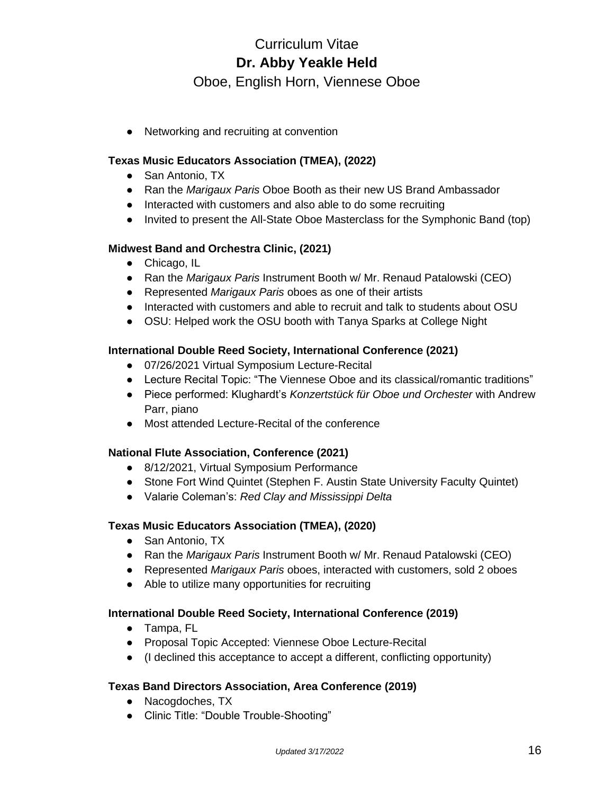Oboe, English Horn, Viennese Oboe

● Networking and recruiting at convention

# **Texas Music Educators Association (TMEA), (2022)**

- San Antonio, TX
- Ran the *Marigaux Paris* Oboe Booth as their new US Brand Ambassador
- Interacted with customers and also able to do some recruiting
- Invited to present the All-State Oboe Masterclass for the Symphonic Band (top)

# **Midwest Band and Orchestra Clinic, (2021)**

- Chicago, IL
- Ran the *Marigaux Paris* Instrument Booth w/ Mr. Renaud Patalowski (CEO)
- Represented *Marigaux Paris* oboes as one of their artists
- Interacted with customers and able to recruit and talk to students about OSU
- OSU: Helped work the OSU booth with Tanya Sparks at College Night

# **International Double Reed Society, International Conference (2021)**

- 07/26/2021 Virtual Symposium Lecture-Recital
- Lecture Recital Topic: "The Viennese Oboe and its classical/romantic traditions"
- Piece performed: Klughardt's *Konzertstück für Oboe und Orchester* with Andrew Parr, piano
- Most attended Lecture-Recital of the conference

### **National Flute Association, Conference (2021)**

- 8/12/2021, Virtual Symposium Performance
- Stone Fort Wind Quintet (Stephen F. Austin State University Faculty Quintet)
- Valarie Coleman's: *Red Clay and Mississippi Delta*

### **Texas Music Educators Association (TMEA), (2020)**

- San Antonio, TX
- Ran the *Marigaux Paris* Instrument Booth w/ Mr. Renaud Patalowski (CEO)
- Represented *Marigaux Paris* oboes, interacted with customers, sold 2 oboes
- Able to utilize many opportunities for recruiting

### **International Double Reed Society, International Conference (2019)**

- Tampa, FL
- Proposal Topic Accepted: Viennese Oboe Lecture-Recital
- (I declined this acceptance to accept a different, conflicting opportunity)

### **Texas Band Directors Association, Area Conference (2019)**

- Nacogdoches, TX
- Clinic Title: "Double Trouble-Shooting"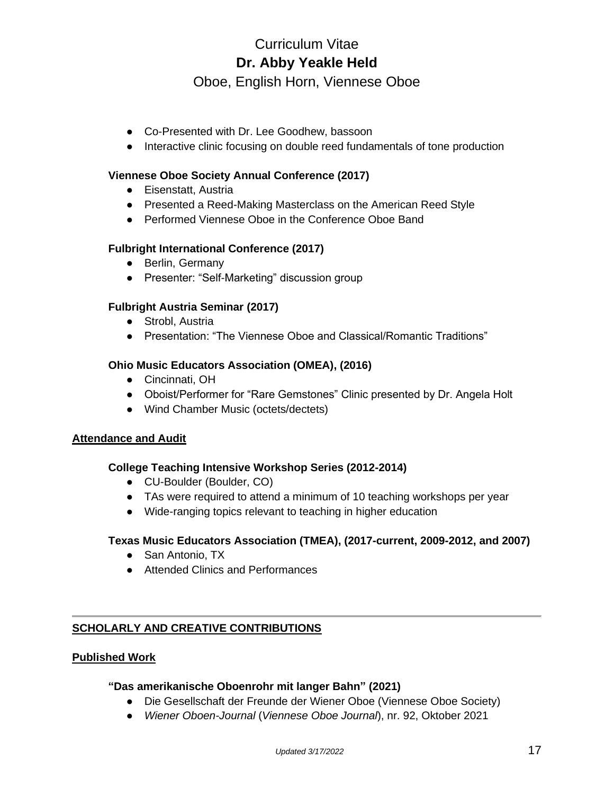Oboe, English Horn, Viennese Oboe

- Co-Presented with Dr. Lee Goodhew, bassoon
- Interactive clinic focusing on double reed fundamentals of tone production

# **Viennese Oboe Society Annual Conference (2017)**

- Eisenstatt, Austria
- Presented a Reed-Making Masterclass on the American Reed Style
- Performed Viennese Oboe in the Conference Oboe Band

# **Fulbright International Conference (2017)**

- Berlin, Germany
- Presenter: "Self-Marketing" discussion group

# **Fulbright Austria Seminar (2017)**

- Strobl, Austria
- Presentation: "The Viennese Oboe and Classical/Romantic Traditions"

### **Ohio Music Educators Association (OMEA), (2016)**

- Cincinnati, OH
- Oboist/Performer for "Rare Gemstones" Clinic presented by Dr. Angela Holt
- Wind Chamber Music (octets/dectets)

### **Attendance and Audit**

### **College Teaching Intensive Workshop Series (2012-2014)**

- CU-Boulder (Boulder, CO)
- TAs were required to attend a minimum of 10 teaching workshops per year
- Wide-ranging topics relevant to teaching in higher education

### **Texas Music Educators Association (TMEA), (2017-current, 2009-2012, and 2007)**

- San Antonio, TX
- Attended Clinics and Performances

# **SCHOLARLY AND CREATIVE CONTRIBUTIONS**

### **Published Work**

### **"Das amerikanische Oboenrohr mit langer Bahn" (2021)**

- Die Gesellschaft der Freunde der Wiener Oboe (Viennese Oboe Society)
- *Wiener Oboen-Journal* (*Viennese Oboe Journal*), nr. 92, Oktober 2021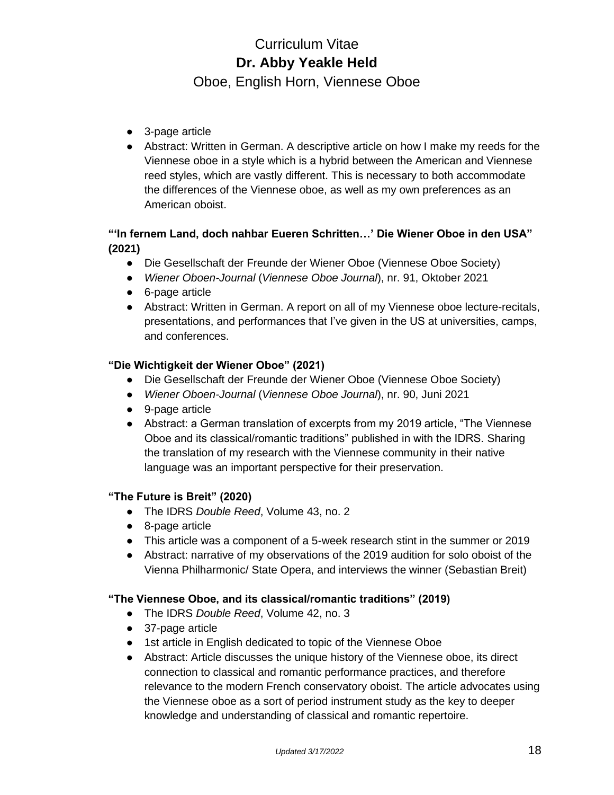Oboe, English Horn, Viennese Oboe

- 3-page article
- Abstract: Written in German. A descriptive article on how I make my reeds for the Viennese oboe in a style which is a hybrid between the American and Viennese reed styles, which are vastly different. This is necessary to both accommodate the differences of the Viennese oboe, as well as my own preferences as an American oboist.

# **"'In fernem Land, doch nahbar Eueren Schritten…' Die Wiener Oboe in den USA" (2021)**

- Die Gesellschaft der Freunde der Wiener Oboe (Viennese Oboe Society)
- *Wiener Oboen-Journal* (*Viennese Oboe Journal*), nr. 91, Oktober 2021
- 6-page article
- Abstract: Written in German. A report on all of my Viennese oboe lecture-recitals, presentations, and performances that I've given in the US at universities, camps, and conferences.

# **"Die Wichtigkeit der Wiener Oboe" (2021)**

- Die Gesellschaft der Freunde der Wiener Oboe (Viennese Oboe Society)
- *Wiener Oboen-Journal* (*Viennese Oboe Journal*), nr. 90, Juni 2021
- 9-page article
- Abstract: a German translation of excerpts from my 2019 article, "The Viennese Oboe and its classical/romantic traditions" published in with the IDRS. Sharing the translation of my research with the Viennese community in their native language was an important perspective for their preservation.

# **"The Future is Breit" (2020)**

- The IDRS *Double Reed*, Volume 43, no. 2
- 8-page article
- This article was a component of a 5-week research stint in the summer or 2019
- Abstract: narrative of my observations of the 2019 audition for solo oboist of the Vienna Philharmonic/ State Opera, and interviews the winner (Sebastian Breit)

# **"The Viennese Oboe, and its classical/romantic traditions" (2019)**

- The IDRS *Double Reed*, Volume 42, no. 3
- 37-page article
- 1st article in English dedicated to topic of the Viennese Oboe
- Abstract: Article discusses the unique history of the Viennese oboe, its direct connection to classical and romantic performance practices, and therefore relevance to the modern French conservatory oboist. The article advocates using the Viennese oboe as a sort of period instrument study as the key to deeper knowledge and understanding of classical and romantic repertoire.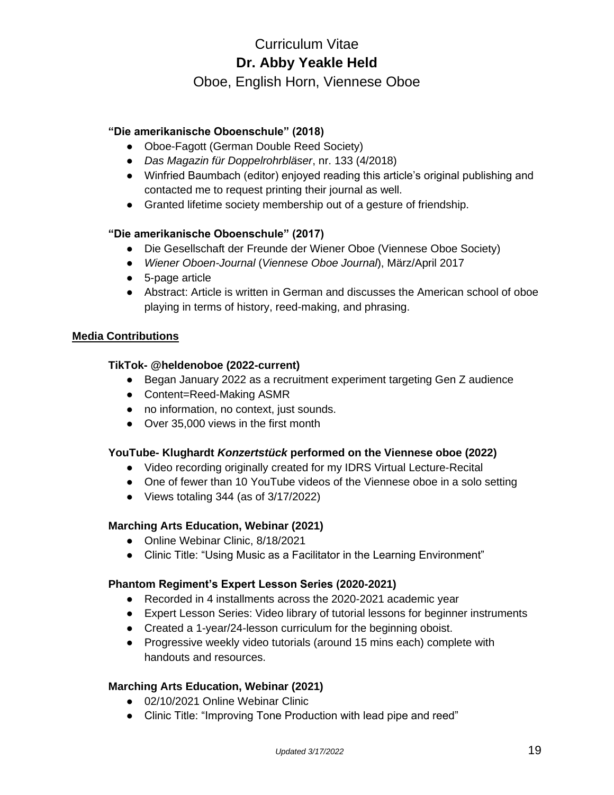Oboe, English Horn, Viennese Oboe

# **"Die amerikanische Oboenschule" (2018)**

- Oboe-Fagott (German Double Reed Society)
- *Das Magazin für Doppelrohrbläser*, nr. 133 (4/2018)
- Winfried Baumbach (editor) enjoyed reading this article's original publishing and contacted me to request printing their journal as well.
- Granted lifetime society membership out of a gesture of friendship.

# **"Die amerikanische Oboenschule" (2017)**

- Die Gesellschaft der Freunde der Wiener Oboe (Viennese Oboe Society)
- *Wiener Oboen-Journal* (*Viennese Oboe Journal*), März/April 2017
- 5-page article
- Abstract: Article is written in German and discusses the American school of oboe playing in terms of history, reed-making, and phrasing.

# **Media Contributions**

# **TikTok- @heldenoboe (2022-current)**

- Began January 2022 as a recruitment experiment targeting Gen Z audience
- Content=Reed-Making ASMR
- no information, no context, just sounds.
- Over 35,000 views in the first month

# **YouTube- Klughardt** *Konzertstück* **performed on the Viennese oboe (2022)**

- Video recording originally created for my IDRS Virtual Lecture-Recital
- One of fewer than 10 YouTube videos of the Viennese oboe in a solo setting
- Views totaling 344 (as of 3/17/2022)

# **Marching Arts Education, Webinar (2021)**

- Online Webinar Clinic, 8/18/2021
- Clinic Title: "Using Music as a Facilitator in the Learning Environment"

### **Phantom Regiment's Expert Lesson Series (2020-2021)**

- Recorded in 4 installments across the 2020-2021 academic year
- Expert Lesson Series: Video library of tutorial lessons for beginner instruments
- Created a 1-year/24-lesson curriculum for the beginning oboist.
- Progressive weekly video tutorials (around 15 mins each) complete with handouts and resources.

# **Marching Arts Education, Webinar (2021)**

- 02/10/2021 Online Webinar Clinic
- Clinic Title: "Improving Tone Production with lead pipe and reed"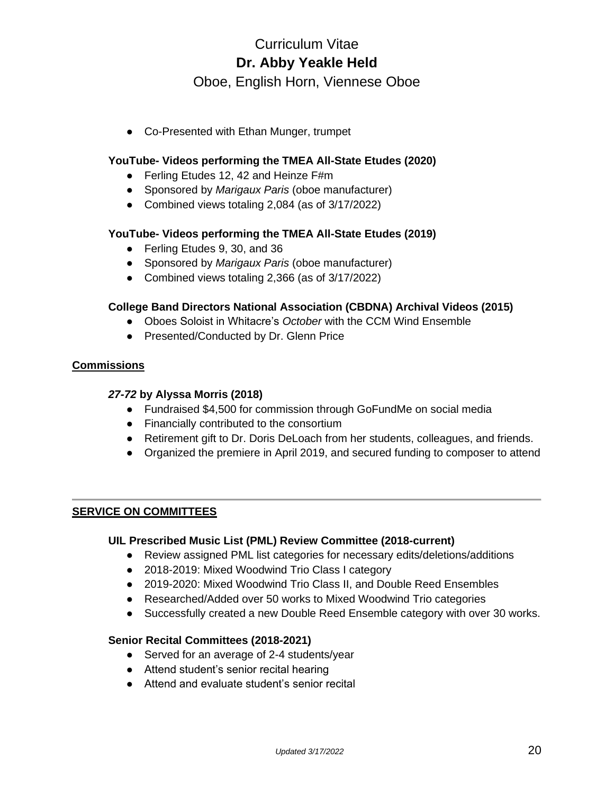Oboe, English Horn, Viennese Oboe

● Co-Presented with Ethan Munger, trumpet

## **YouTube- Videos performing the TMEA All-State Etudes (2020)**

- Ferling Etudes 12, 42 and Heinze F#m
- Sponsored by *Marigaux Paris* (oboe manufacturer)
- Combined views totaling 2,084 (as of 3/17/2022)

### **YouTube- Videos performing the TMEA All-State Etudes (2019)**

- Ferling Etudes 9, 30, and 36
- Sponsored by *Marigaux Paris* (oboe manufacturer)
- Combined views totaling 2,366 (as of 3/17/2022)

### **College Band Directors National Association (CBDNA) Archival Videos (2015)**

- Oboes Soloist in Whitacre's *October* with the CCM Wind Ensemble
- Presented/Conducted by Dr. Glenn Price

### **Commissions**

#### *27-72* **by Alyssa Morris (2018)**

- Fundraised \$4,500 for commission through GoFundMe on social media
- Financially contributed to the consortium
- Retirement gift to Dr. Doris DeLoach from her students, colleagues, and friends.
- Organized the premiere in April 2019, and secured funding to composer to attend

# **SERVICE ON COMMITTEES**

### **UIL Prescribed Music List (PML) Review Committee (2018-current)**

- Review assigned PML list categories for necessary edits/deletions/additions
- 2018-2019: Mixed Woodwind Trio Class I category
- 2019-2020: Mixed Woodwind Trio Class II, and Double Reed Ensembles
- Researched/Added over 50 works to Mixed Woodwind Trio categories
- Successfully created a new Double Reed Ensemble category with over 30 works.

### **Senior Recital Committees (2018-2021)**

- Served for an average of 2-4 students/year
- Attend student's senior recital hearing
- Attend and evaluate student's senior recital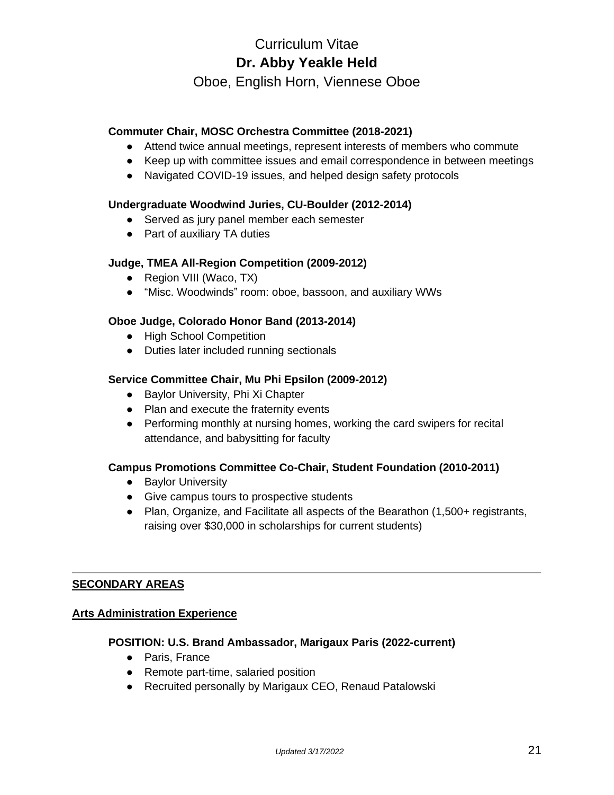Oboe, English Horn, Viennese Oboe

## **Commuter Chair, MOSC Orchestra Committee (2018-2021)**

- Attend twice annual meetings, represent interests of members who commute
- Keep up with committee issues and email correspondence in between meetings
- Navigated COVID-19 issues, and helped design safety protocols

## **Undergraduate Woodwind Juries, CU-Boulder (2012-2014)**

- Served as jury panel member each semester
- Part of auxiliary TA duties

### **Judge, TMEA All-Region Competition (2009-2012)**

- Region VIII (Waco, TX)
- "Misc. Woodwinds" room: oboe, bassoon, and auxiliary WWs

# **Oboe Judge, Colorado Honor Band (2013-2014)**

- High School Competition
- Duties later included running sectionals

### **Service Committee Chair, Mu Phi Epsilon (2009-2012)**

- Baylor University, Phi Xi Chapter
- Plan and execute the fraternity events
- Performing monthly at nursing homes, working the card swipers for recital attendance, and babysitting for faculty

### **Campus Promotions Committee Co-Chair, Student Foundation (2010-2011)**

- Baylor University
- Give campus tours to prospective students
- Plan, Organize, and Facilitate all aspects of the Bearathon (1,500+ registrants, raising over \$30,000 in scholarships for current students)

### **SECONDARY AREAS**

### **Arts Administration Experience**

### **POSITION: U.S. Brand Ambassador, Marigaux Paris (2022-current)**

- Paris, France
- Remote part-time, salaried position
- Recruited personally by Marigaux CEO, Renaud Patalowski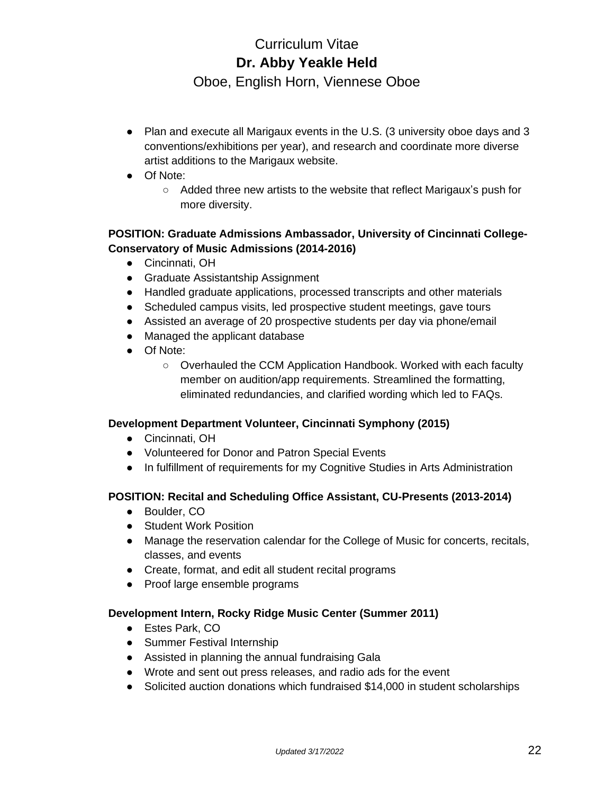Oboe, English Horn, Viennese Oboe

- Plan and execute all Marigaux events in the U.S. (3 university oboe days and 3 conventions/exhibitions per year), and research and coordinate more diverse artist additions to the Marigaux website.
- Of Note:
	- Added three new artists to the website that reflect Marigaux's push for more diversity.

# **POSITION: Graduate Admissions Ambassador, University of Cincinnati College-Conservatory of Music Admissions (2014-2016)**

- Cincinnati, OH
- Graduate Assistantship Assignment
- Handled graduate applications, processed transcripts and other materials
- Scheduled campus visits, led prospective student meetings, gave tours
- Assisted an average of 20 prospective students per day via phone/email
- Managed the applicant database
- Of Note:
	- Overhauled the CCM Application Handbook. Worked with each faculty member on audition/app requirements. Streamlined the formatting, eliminated redundancies, and clarified wording which led to FAQs.

# **Development Department Volunteer, Cincinnati Symphony (2015)**

- Cincinnati, OH
- Volunteered for Donor and Patron Special Events
- In fulfillment of requirements for my Cognitive Studies in Arts Administration

# **POSITION: Recital and Scheduling Office Assistant, CU-Presents (2013-2014)**

- Boulder, CO
- Student Work Position
- Manage the reservation calendar for the College of Music for concerts, recitals, classes, and events
- Create, format, and edit all student recital programs
- Proof large ensemble programs

# **Development Intern, Rocky Ridge Music Center (Summer 2011)**

- Estes Park, CO
- Summer Festival Internship
- Assisted in planning the annual fundraising Gala
- Wrote and sent out press releases, and radio ads for the event
- Solicited auction donations which fundraised \$14,000 in student scholarships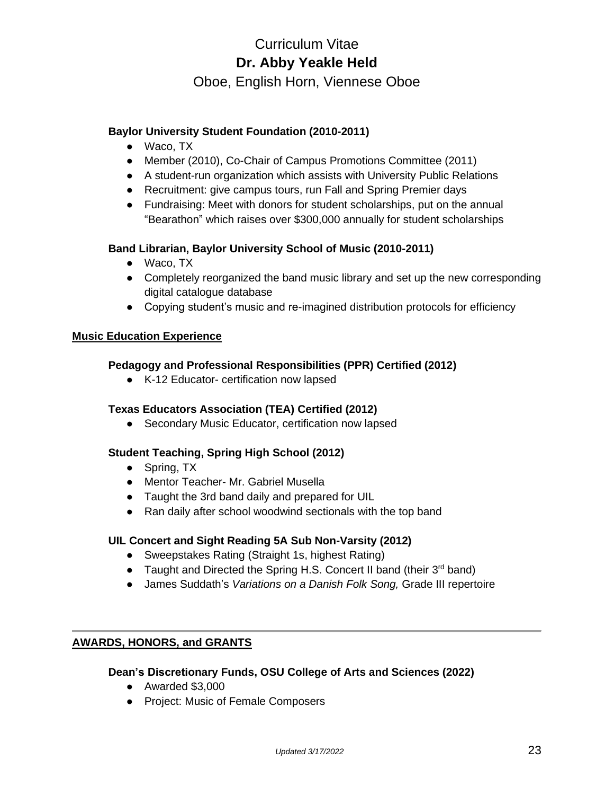Oboe, English Horn, Viennese Oboe

# **Baylor University Student Foundation (2010-2011)**

- Waco, TX
- Member (2010), Co-Chair of Campus Promotions Committee (2011)
- A student-run organization which assists with University Public Relations
- Recruitment: give campus tours, run Fall and Spring Premier days
- Fundraising: Meet with donors for student scholarships, put on the annual "Bearathon" which raises over \$300,000 annually for student scholarships

### **Band Librarian, Baylor University School of Music (2010-2011)**

- Waco, TX
- Completely reorganized the band music library and set up the new corresponding digital catalogue database
- Copying student's music and re-imagined distribution protocols for efficiency

#### **Music Education Experience**

#### **Pedagogy and Professional Responsibilities (PPR) Certified (2012)**

● K-12 Educator- certification now lapsed

# **Texas Educators Association (TEA) Certified (2012)**

• Secondary Music Educator, certification now lapsed

### **Student Teaching, Spring High School (2012)**

- Spring, TX
- Mentor Teacher- Mr. Gabriel Musella
- Taught the 3rd band daily and prepared for UIL
- Ran daily after school woodwind sectionals with the top band

### **UIL Concert and Sight Reading 5A Sub Non-Varsity (2012)**

- Sweepstakes Rating (Straight 1s, highest Rating)
- Taught and Directed the Spring H.S. Concert II band (their 3<sup>rd</sup> band)
- James Suddath's *Variations on a Danish Folk Song,* Grade III repertoire

## **AWARDS, HONORS, and GRANTS**

#### **Dean's Discretionary Funds, OSU College of Arts and Sciences (2022)**

- Awarded \$3,000
- Project: Music of Female Composers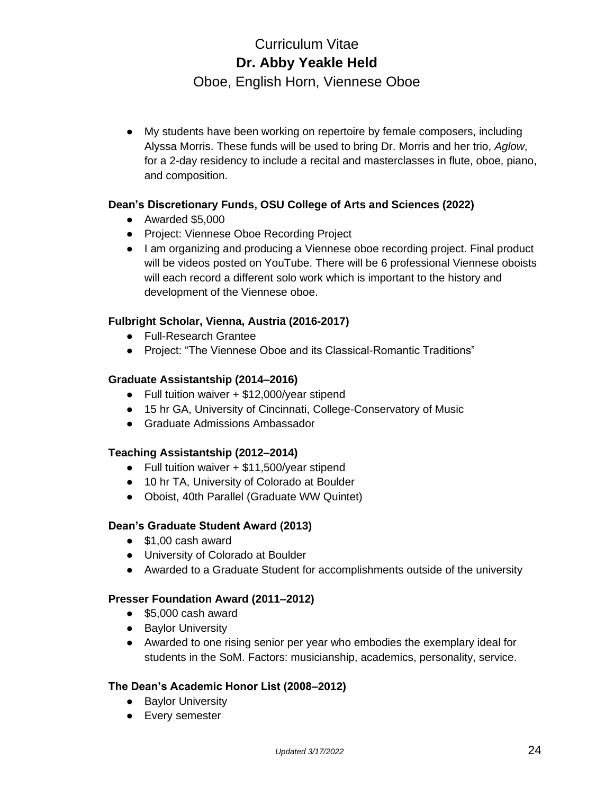Oboe, English Horn, Viennese Oboe

● My students have been working on repertoire by female composers, including Alyssa Morris. These funds will be used to bring Dr. Morris and her trio, *Aglow*, for a 2-day residency to include a recital and masterclasses in flute, oboe, piano, and composition.

# **Dean's Discretionary Funds, OSU College of Arts and Sciences (2022)**

- Awarded \$5,000
- Project: Viennese Oboe Recording Project
- I am organizing and producing a Viennese oboe recording project. Final product will be videos posted on YouTube. There will be 6 professional Viennese oboists will each record a different solo work which is important to the history and development of the Viennese oboe.

# **Fulbright Scholar, Vienna, Austria (2016-2017)**

- Full-Research Grantee
- Project: "The Viennese Oboe and its Classical-Romantic Traditions"

# **Graduate Assistantship (2014–2016)**

- Full tuition waiver + \$12,000/year stipend
- 15 hr GA, University of Cincinnati, College-Conservatory of Music
- Graduate Admissions Ambassador

# **Teaching Assistantship (2012–2014)**

- Full tuition waiver + \$11,500/year stipend
- 10 hr TA, University of Colorado at Boulder
- Oboist, 40th Parallel (Graduate WW Quintet)

# **Dean's Graduate Student Award (2013)**

- \$1,00 cash award
- University of Colorado at Boulder
- Awarded to a Graduate Student for accomplishments outside of the university

# **Presser Foundation Award (2011–2012)**

- \$5,000 cash award
- Baylor University
- Awarded to one rising senior per year who embodies the exemplary ideal for students in the SoM. Factors: musicianship, academics, personality, service.

# **The Dean's Academic Honor List (2008–2012)**

- Baylor University
- Every semester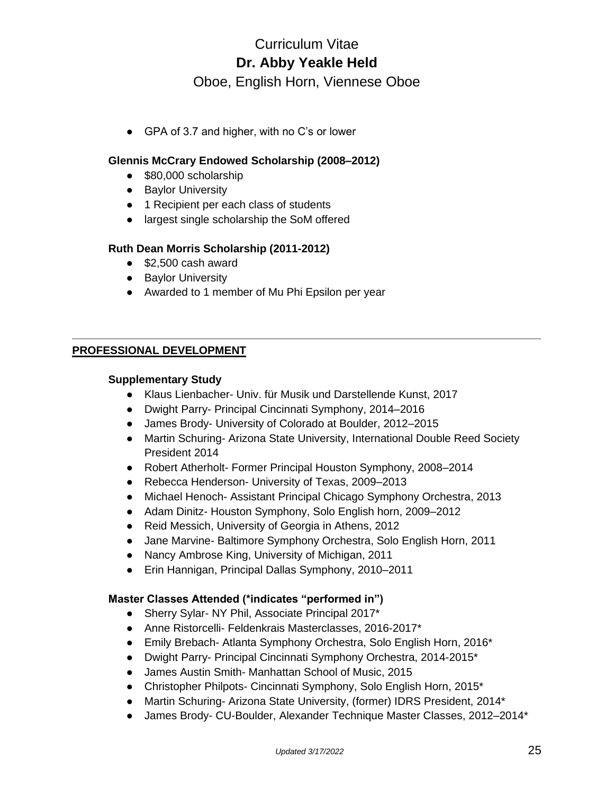Oboe, English Horn, Viennese Oboe

● GPA of 3.7 and higher, with no C's or lower

# **Glennis McCrary Endowed Scholarship (2008–2012)**

- \$80,000 scholarship
- Baylor University
- 1 Recipient per each class of students
- largest single scholarship the SoM offered

### **Ruth Dean Morris Scholarship (2011-2012)**

- \$2,500 cash award
- Baylor University
- Awarded to 1 member of Mu Phi Epsilon per year

# **PROFESSIONAL DEVELOPMENT**

#### **Supplementary Study**

- Klaus Lienbacher- Univ. für Musik und Darstellende Kunst, 2017
- Dwight Parry- Principal Cincinnati Symphony, 2014–2016
- James Brody- University of Colorado at Boulder, 2012–2015
- Martin Schuring- Arizona State University, International Double Reed Society President 2014
- Robert Atherholt- Former Principal Houston Symphony, 2008–2014
- Rebecca Henderson- University of Texas, 2009–2013
- Michael Henoch- Assistant Principal Chicago Symphony Orchestra, 2013
- Adam Dinitz- Houston Symphony, Solo English horn, 2009–2012
- Reid Messich, University of Georgia in Athens, 2012
- Jane Marvine- Baltimore Symphony Orchestra, Solo English Horn, 2011
- Nancy Ambrose King, University of Michigan, 2011
- Erin Hannigan, Principal Dallas Symphony, 2010–2011

### **Master Classes Attended (\*indicates "performed in")**

- Sherry Sylar- NY Phil, Associate Principal 2017\*
- Anne Ristorcelli- Feldenkrais Masterclasses, 2016-2017\*
- Emily Brebach- Atlanta Symphony Orchestra, Solo English Horn, 2016<sup>\*</sup>
- Dwight Parry- Principal Cincinnati Symphony Orchestra, 2014-2015\*
- James Austin Smith- Manhattan School of Music, 2015
- Christopher Philpots- Cincinnati Symphony, Solo English Horn, 2015\*
- Martin Schuring- Arizona State University, (former) IDRS President, 2014\*
- James Brody- CU-Boulder, Alexander Technique Master Classes, 2012–2014\*